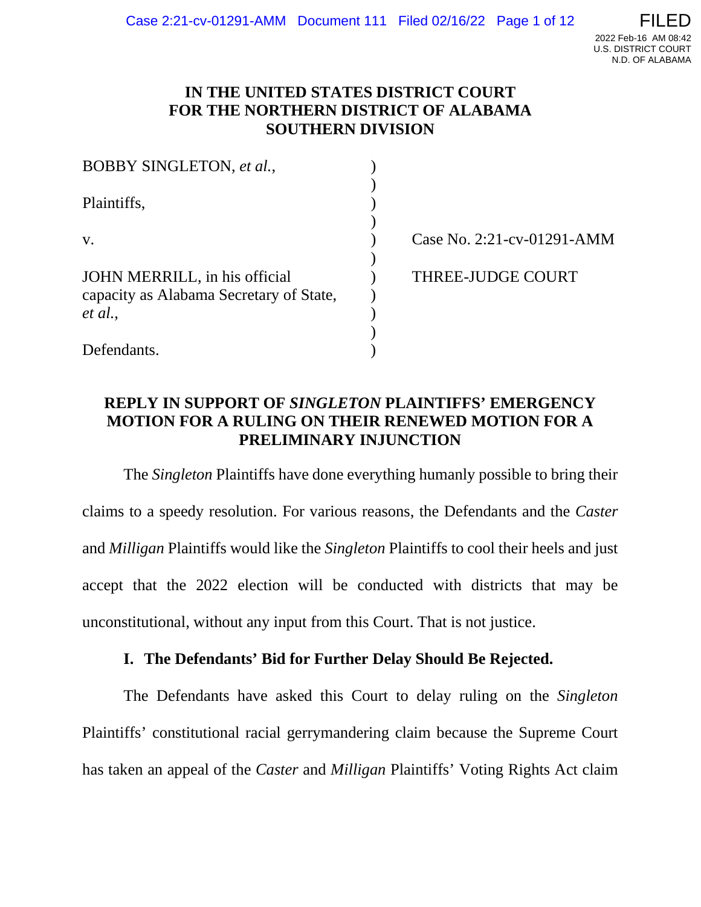## **IN THE UNITED STATES DISTRICT COURT FOR THE NORTHERN DISTRICT OF ALABAMA SOUTHERN DIVISION**

| BOBBY SINGLETON, et al.,                                                 |                            |
|--------------------------------------------------------------------------|----------------------------|
| Plaintiffs,                                                              |                            |
| $V_{\star}$                                                              | Case No. 2:21-cv-01291-AMM |
| JOHN MERRILL, in his official<br>capacity as Alabama Secretary of State, | <b>THREE-JUDGE COURT</b>   |
| et al.,                                                                  |                            |
|                                                                          |                            |
| Defendants.                                                              |                            |

# **REPLY IN SUPPORT OF** *SINGLETON* **PLAINTIFFS' EMERGENCY MOTION FOR A RULING ON THEIR RENEWED MOTION FOR A PRELIMINARY INJUNCTION**

The *Singleton* Plaintiffs have done everything humanly possible to bring their claims to a speedy resolution. For various reasons, the Defendants and the *Caster* and *Milligan* Plaintiffs would like the *Singleton* Plaintiffs to cool their heels and just accept that the 2022 election will be conducted with districts that may be unconstitutional, without any input from this Court. That is not justice.

## **I. The Defendants' Bid for Further Delay Should Be Rejected.**

The Defendants have asked this Court to delay ruling on the *Singleton* Plaintiffs' constitutional racial gerrymandering claim because the Supreme Court has taken an appeal of the *Caster* and *Milligan* Plaintiffs' Voting Rights Act claim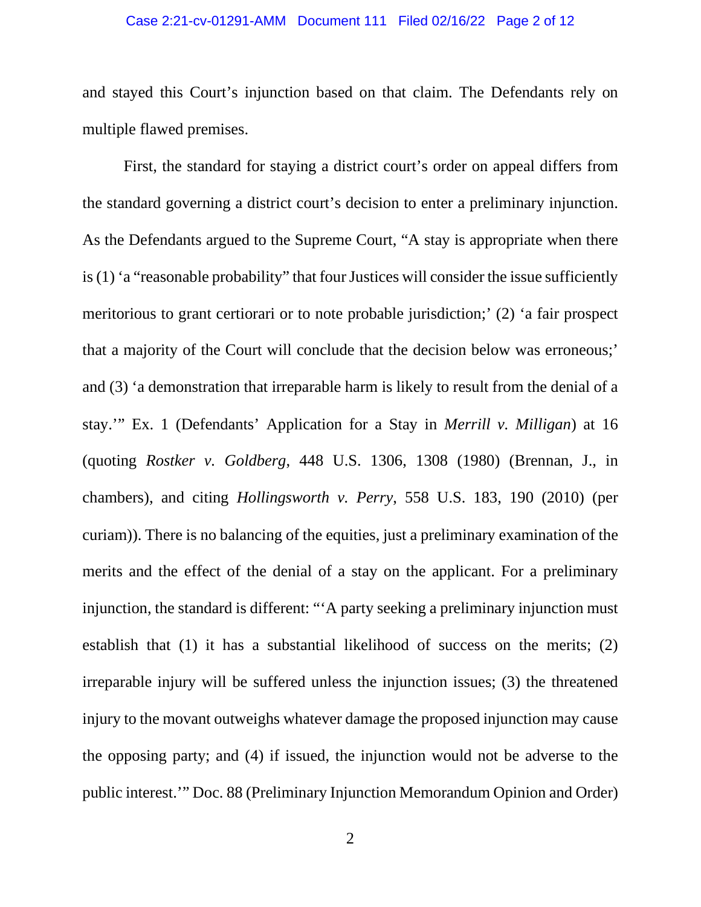#### Case 2:21-cv-01291-AMM Document 111 Filed 02/16/22 Page 2 of 12

and stayed this Court's injunction based on that claim. The Defendants rely on multiple flawed premises.

First, the standard for staying a district court's order on appeal differs from the standard governing a district court's decision to enter a preliminary injunction. As the Defendants argued to the Supreme Court, "A stay is appropriate when there is (1) 'a "reasonable probability" that four Justices will consider the issue sufficiently meritorious to grant certiorari or to note probable jurisdiction;' (2) 'a fair prospect that a majority of the Court will conclude that the decision below was erroneous;' and (3) 'a demonstration that irreparable harm is likely to result from the denial of a stay.'" Ex. 1 (Defendants' Application for a Stay in *Merrill v. Milligan*) at 16 (quoting *Rostker v. Goldberg*, 448 U.S. 1306, 1308 (1980) (Brennan, J., in chambers), and citing *Hollingsworth v. Perry*, 558 U.S. 183, 190 (2010) (per curiam)). There is no balancing of the equities, just a preliminary examination of the merits and the effect of the denial of a stay on the applicant. For a preliminary injunction, the standard is different: "'A party seeking a preliminary injunction must establish that (1) it has a substantial likelihood of success on the merits; (2) irreparable injury will be suffered unless the injunction issues; (3) the threatened injury to the movant outweighs whatever damage the proposed injunction may cause the opposing party; and (4) if issued, the injunction would not be adverse to the public interest.'" Doc. 88 (Preliminary Injunction Memorandum Opinion and Order)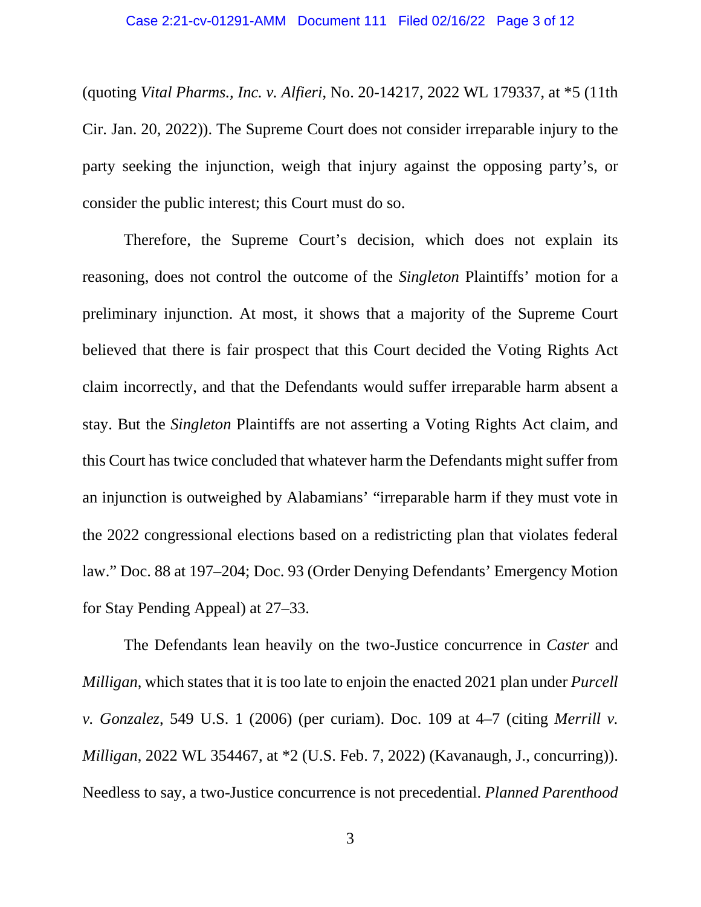#### Case 2:21-cv-01291-AMM Document 111 Filed 02/16/22 Page 3 of 12

(quoting *Vital Pharms., Inc. v. Alfieri*, No. 20-14217, 2022 WL 179337, at \*5 (11th Cir. Jan. 20, 2022)). The Supreme Court does not consider irreparable injury to the party seeking the injunction, weigh that injury against the opposing party's, or consider the public interest; this Court must do so.

Therefore, the Supreme Court's decision, which does not explain its reasoning, does not control the outcome of the *Singleton* Plaintiffs' motion for a preliminary injunction. At most, it shows that a majority of the Supreme Court believed that there is fair prospect that this Court decided the Voting Rights Act claim incorrectly, and that the Defendants would suffer irreparable harm absent a stay. But the *Singleton* Plaintiffs are not asserting a Voting Rights Act claim, and this Court has twice concluded that whatever harm the Defendants might suffer from an injunction is outweighed by Alabamians' "irreparable harm if they must vote in the 2022 congressional elections based on a redistricting plan that violates federal law." Doc. 88 at 197–204; Doc. 93 (Order Denying Defendants' Emergency Motion for Stay Pending Appeal) at 27–33.

The Defendants lean heavily on the two-Justice concurrence in *Caster* and *Milligan*, which states that it is too late to enjoin the enacted 2021 plan under *Purcell v. Gonzalez*, 549 U.S. 1 (2006) (per curiam). Doc. 109 at 4–7 (citing *Merrill v. Milligan*, 2022 WL 354467, at \*2 (U.S. Feb. 7, 2022) (Kavanaugh, J., concurring)). Needless to say, a two-Justice concurrence is not precedential. *Planned Parenthood*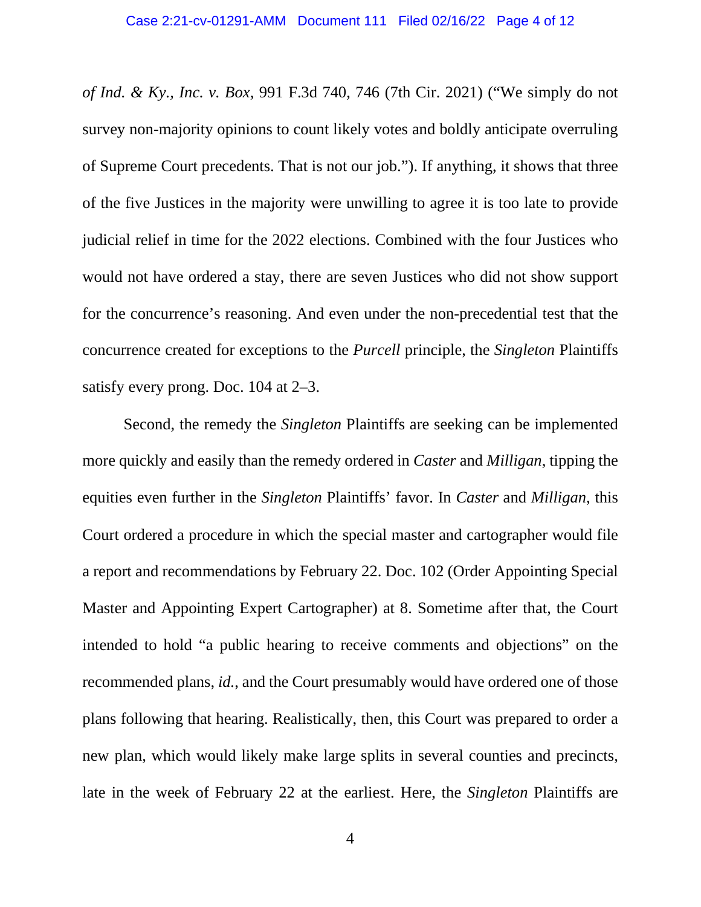*of Ind. & Ky., Inc. v. Box*, 991 F.3d 740, 746 (7th Cir. 2021) ("We simply do not survey non-majority opinions to count likely votes and boldly anticipate overruling of Supreme Court precedents. That is not our job."). If anything, it shows that three of the five Justices in the majority were unwilling to agree it is too late to provide judicial relief in time for the 2022 elections. Combined with the four Justices who would not have ordered a stay, there are seven Justices who did not show support for the concurrence's reasoning. And even under the non-precedential test that the concurrence created for exceptions to the *Purcell* principle, the *Singleton* Plaintiffs satisfy every prong. Doc. 104 at 2–3.

Second, the remedy the *Singleton* Plaintiffs are seeking can be implemented more quickly and easily than the remedy ordered in *Caster* and *Milligan*, tipping the equities even further in the *Singleton* Plaintiffs' favor. In *Caster* and *Milligan*, this Court ordered a procedure in which the special master and cartographer would file a report and recommendations by February 22. Doc. 102 (Order Appointing Special Master and Appointing Expert Cartographer) at 8. Sometime after that, the Court intended to hold "a public hearing to receive comments and objections" on the recommended plans, *id.*, and the Court presumably would have ordered one of those plans following that hearing. Realistically, then, this Court was prepared to order a new plan, which would likely make large splits in several counties and precincts, late in the week of February 22 at the earliest. Here, the *Singleton* Plaintiffs are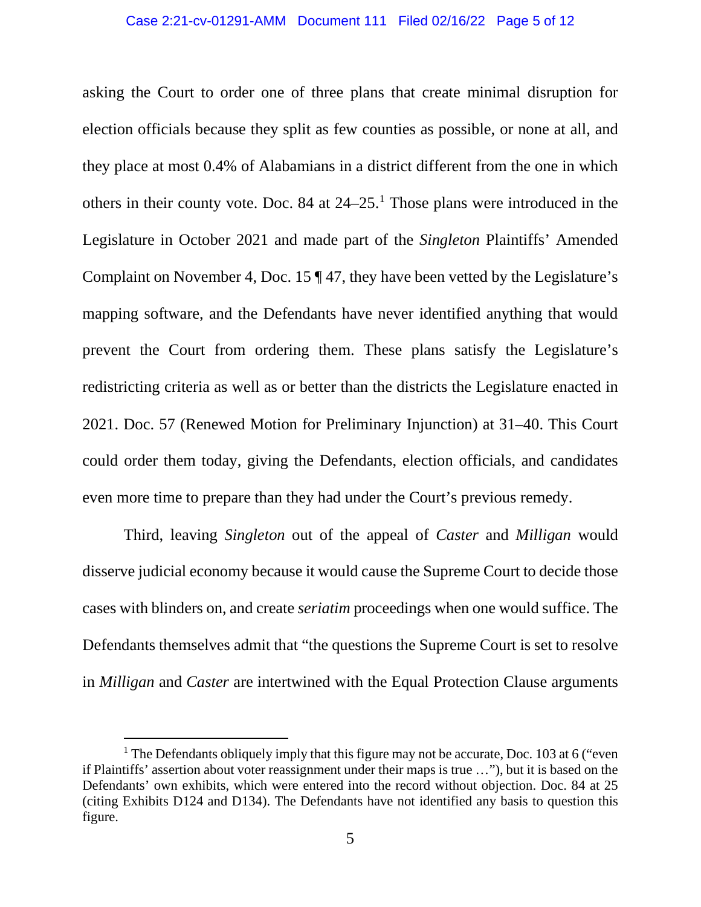asking the Court to order one of three plans that create minimal disruption for election officials because they split as few counties as possible, or none at all, and they place at most 0.4% of Alabamians in a district different from the one in which others in their county vote. Doc. 84 at 24–25.[1](#page-4-0) Those plans were introduced in the Legislature in October 2021 and made part of the *Singleton* Plaintiffs' Amended Complaint on November 4, Doc. 15  $\P$  47, they have been vetted by the Legislature's mapping software, and the Defendants have never identified anything that would prevent the Court from ordering them. These plans satisfy the Legislature's redistricting criteria as well as or better than the districts the Legislature enacted in 2021. Doc. 57 (Renewed Motion for Preliminary Injunction) at 31–40. This Court could order them today, giving the Defendants, election officials, and candidates even more time to prepare than they had under the Court's previous remedy.

Third, leaving *Singleton* out of the appeal of *Caster* and *Milligan* would disserve judicial economy because it would cause the Supreme Court to decide those cases with blinders on, and create *seriatim* proceedings when one would suffice. The Defendants themselves admit that "the questions the Supreme Court is set to resolve in *Milligan* and *Caster* are intertwined with the Equal Protection Clause arguments

<span id="page-4-0"></span><sup>&</sup>lt;sup>1</sup> The Defendants obliquely imply that this figure may not be accurate, Doc. 103 at 6 ("even" if Plaintiffs' assertion about voter reassignment under their maps is true …"), but it is based on the Defendants' own exhibits, which were entered into the record without objection. Doc. 84 at 25 (citing Exhibits D124 and D134). The Defendants have not identified any basis to question this figure.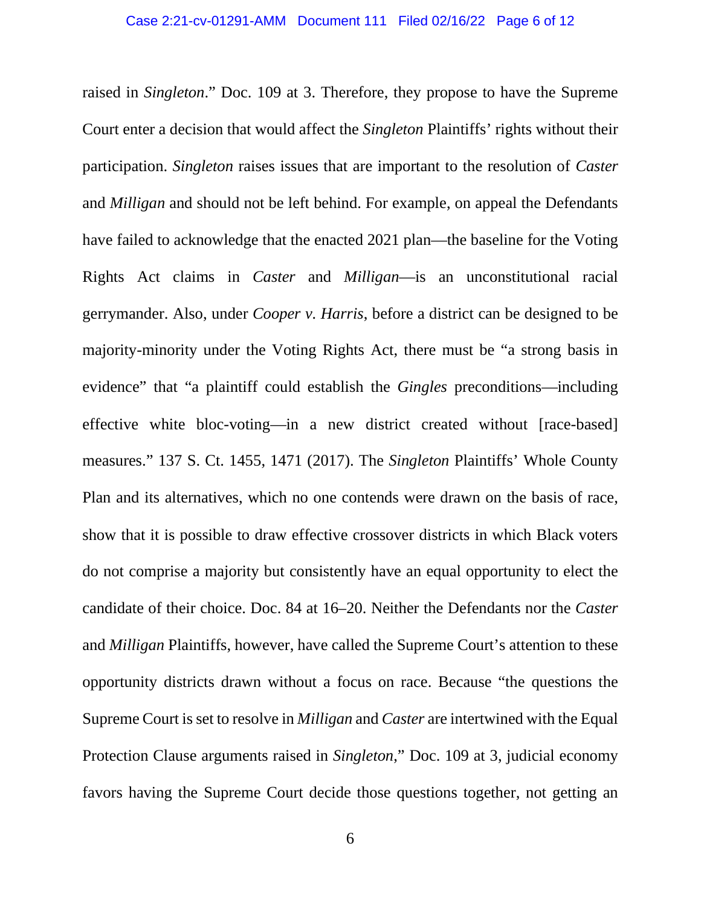raised in *Singleton*." Doc. 109 at 3. Therefore, they propose to have the Supreme Court enter a decision that would affect the *Singleton* Plaintiffs' rights without their participation. *Singleton* raises issues that are important to the resolution of *Caster* and *Milligan* and should not be left behind. For example, on appeal the Defendants have failed to acknowledge that the enacted 2021 plan—the baseline for the Voting Rights Act claims in *Caster* and *Milligan*—is an unconstitutional racial gerrymander. Also, under *Cooper v. Harris*, before a district can be designed to be majority-minority under the Voting Rights Act, there must be "a strong basis in evidence" that "a plaintiff could establish the *Gingles* preconditions—including effective white bloc-voting—in a new district created without [race-based] measures." 137 S. Ct. 1455, 1471 (2017). The *Singleton* Plaintiffs' Whole County Plan and its alternatives, which no one contends were drawn on the basis of race, show that it is possible to draw effective crossover districts in which Black voters do not comprise a majority but consistently have an equal opportunity to elect the candidate of their choice. Doc. 84 at 16–20. Neither the Defendants nor the *Caster* and *Milligan* Plaintiffs, however, have called the Supreme Court's attention to these opportunity districts drawn without a focus on race. Because "the questions the Supreme Court is set to resolve in *Milligan* and *Caster* are intertwined with the Equal Protection Clause arguments raised in *Singleton*," Doc. 109 at 3, judicial economy favors having the Supreme Court decide those questions together, not getting an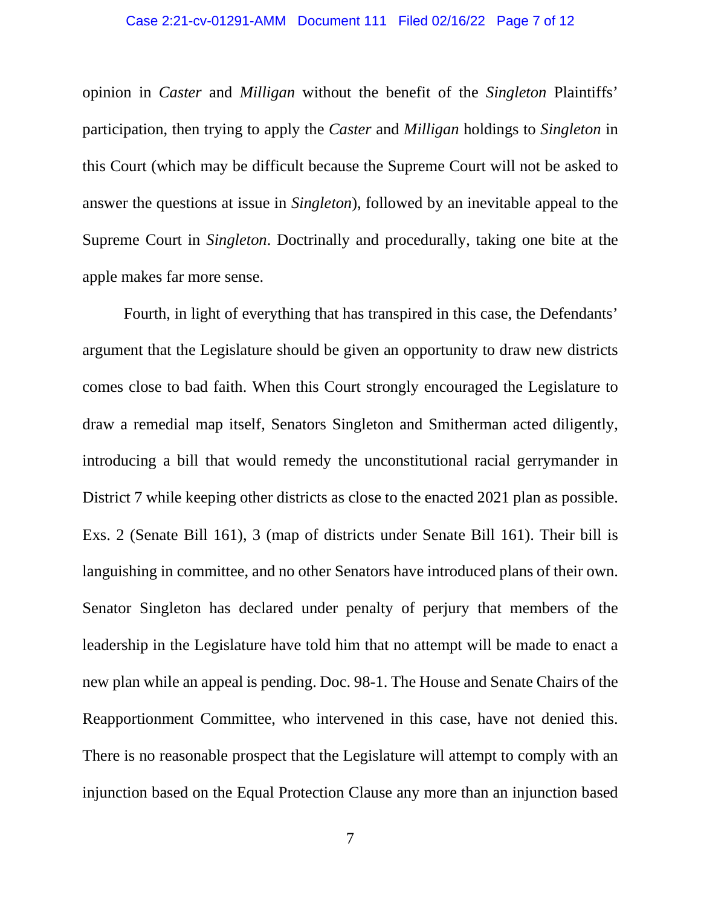#### Case 2:21-cv-01291-AMM Document 111 Filed 02/16/22 Page 7 of 12

opinion in *Caster* and *Milligan* without the benefit of the *Singleton* Plaintiffs' participation, then trying to apply the *Caster* and *Milligan* holdings to *Singleton* in this Court (which may be difficult because the Supreme Court will not be asked to answer the questions at issue in *Singleton*), followed by an inevitable appeal to the Supreme Court in *Singleton*. Doctrinally and procedurally, taking one bite at the apple makes far more sense.

Fourth, in light of everything that has transpired in this case, the Defendants' argument that the Legislature should be given an opportunity to draw new districts comes close to bad faith. When this Court strongly encouraged the Legislature to draw a remedial map itself, Senators Singleton and Smitherman acted diligently, introducing a bill that would remedy the unconstitutional racial gerrymander in District 7 while keeping other districts as close to the enacted 2021 plan as possible. Exs. 2 (Senate Bill 161), 3 (map of districts under Senate Bill 161). Their bill is languishing in committee, and no other Senators have introduced plans of their own. Senator Singleton has declared under penalty of perjury that members of the leadership in the Legislature have told him that no attempt will be made to enact a new plan while an appeal is pending. Doc. 98-1. The House and Senate Chairs of the Reapportionment Committee, who intervened in this case, have not denied this. There is no reasonable prospect that the Legislature will attempt to comply with an injunction based on the Equal Protection Clause any more than an injunction based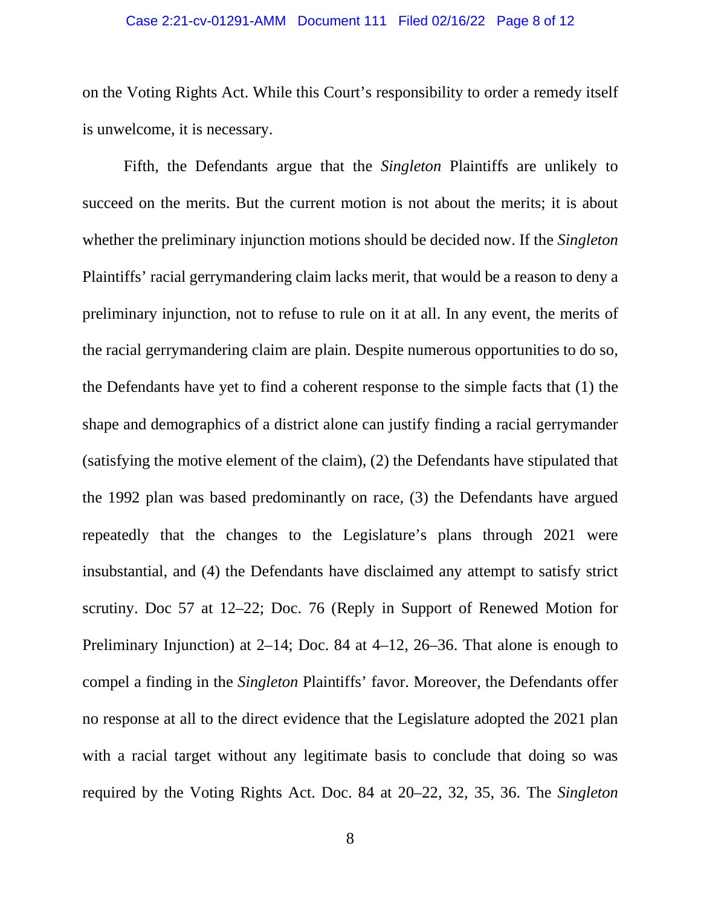#### Case 2:21-cv-01291-AMM Document 111 Filed 02/16/22 Page 8 of 12

on the Voting Rights Act. While this Court's responsibility to order a remedy itself is unwelcome, it is necessary.

Fifth, the Defendants argue that the *Singleton* Plaintiffs are unlikely to succeed on the merits. But the current motion is not about the merits; it is about whether the preliminary injunction motions should be decided now. If the *Singleton* Plaintiffs' racial gerrymandering claim lacks merit, that would be a reason to deny a preliminary injunction, not to refuse to rule on it at all. In any event, the merits of the racial gerrymandering claim are plain. Despite numerous opportunities to do so, the Defendants have yet to find a coherent response to the simple facts that (1) the shape and demographics of a district alone can justify finding a racial gerrymander (satisfying the motive element of the claim), (2) the Defendants have stipulated that the 1992 plan was based predominantly on race, (3) the Defendants have argued repeatedly that the changes to the Legislature's plans through 2021 were insubstantial, and (4) the Defendants have disclaimed any attempt to satisfy strict scrutiny. Doc 57 at 12–22; Doc. 76 (Reply in Support of Renewed Motion for Preliminary Injunction) at 2–14; Doc. 84 at 4–12, 26–36. That alone is enough to compel a finding in the *Singleton* Plaintiffs' favor. Moreover, the Defendants offer no response at all to the direct evidence that the Legislature adopted the 2021 plan with a racial target without any legitimate basis to conclude that doing so was required by the Voting Rights Act. Doc. 84 at 20–22, 32, 35, 36. The *Singleton*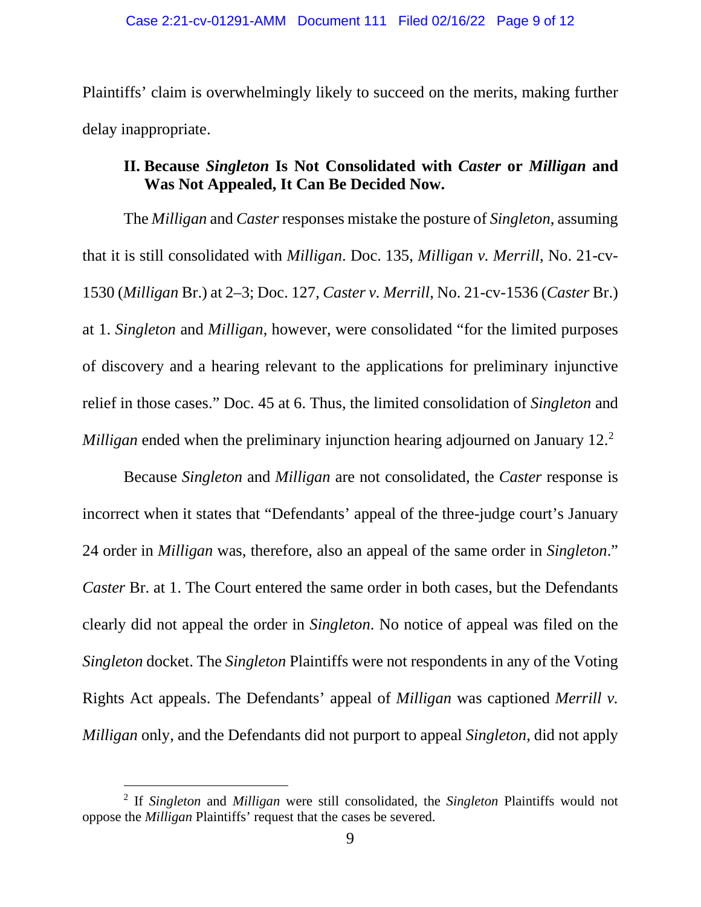Plaintiffs' claim is overwhelmingly likely to succeed on the merits, making further delay inappropriate.

## **II. Because** *Singleton* **Is Not Consolidated with** *Caster* **or** *Milligan* **and Was Not Appealed, It Can Be Decided Now.**

The *Milligan* and *Caster* responses mistake the posture of *Singleton*, assuming that it is still consolidated with *Milligan*. Doc. 135, *Milligan v. Merrill*, No. 21-cv-1530 (*Milligan* Br.) at 2–3; Doc. 127, *Caster v. Merrill*, No. 21-cv-1536 (*Caster* Br.) at 1. *Singleton* and *Milligan*, however, were consolidated "for the limited purposes of discovery and a hearing relevant to the applications for preliminary injunctive relief in those cases." Doc. 45 at 6. Thus, the limited consolidation of *Singleton* and *Milligan* ended when the preliminary injunction hearing adjourned on January 12. [2](#page-8-0)

Because *Singleton* and *Milligan* are not consolidated, the *Caster* response is incorrect when it states that "Defendants' appeal of the three-judge court's January 24 order in *Milligan* was, therefore, also an appeal of the same order in *Singleton*." *Caster* Br. at 1. The Court entered the same order in both cases, but the Defendants clearly did not appeal the order in *Singleton*. No notice of appeal was filed on the *Singleton* docket. The *Singleton* Plaintiffs were not respondents in any of the Voting Rights Act appeals. The Defendants' appeal of *Milligan* was captioned *Merrill v. Milligan* only, and the Defendants did not purport to appeal *Singleton*, did not apply

<span id="page-8-0"></span><sup>2</sup> If *Singleton* and *Milligan* were still consolidated, the *Singleton* Plaintiffs would not oppose the *Milligan* Plaintiffs' request that the cases be severed.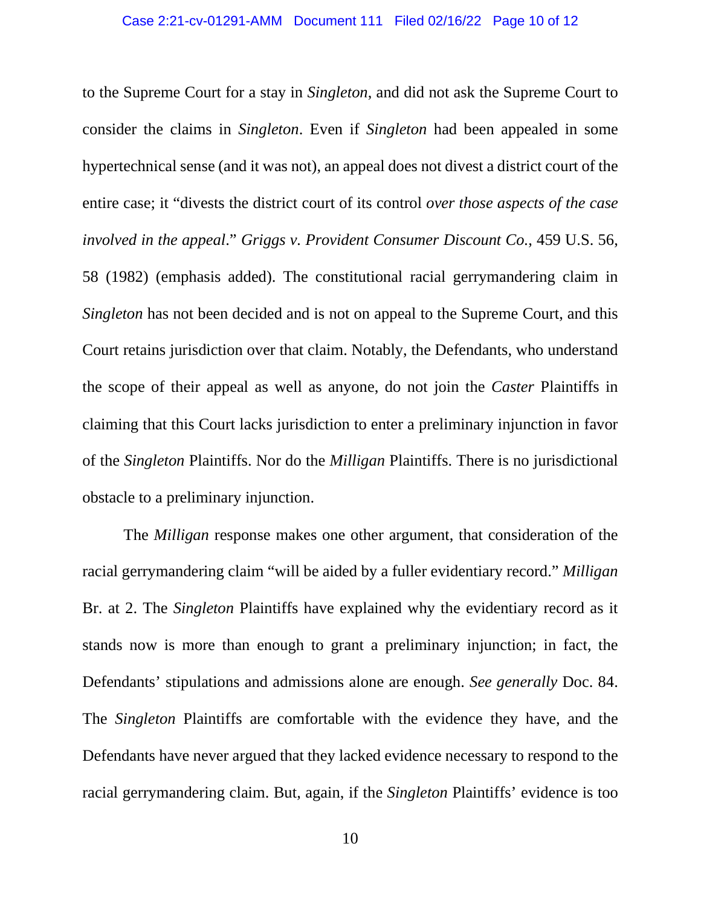to the Supreme Court for a stay in *Singleton*, and did not ask the Supreme Court to consider the claims in *Singleton*. Even if *Singleton* had been appealed in some hypertechnical sense (and it was not), an appeal does not divest a district court of the entire case; it "divests the district court of its control *over those aspects of the case involved in the appeal*." *Griggs v. Provident Consumer Discount Co.*, 459 U.S. 56, 58 (1982) (emphasis added). The constitutional racial gerrymandering claim in *Singleton* has not been decided and is not on appeal to the Supreme Court, and this Court retains jurisdiction over that claim. Notably, the Defendants, who understand the scope of their appeal as well as anyone, do not join the *Caster* Plaintiffs in claiming that this Court lacks jurisdiction to enter a preliminary injunction in favor of the *Singleton* Plaintiffs. Nor do the *Milligan* Plaintiffs. There is no jurisdictional obstacle to a preliminary injunction.

The *Milligan* response makes one other argument, that consideration of the racial gerrymandering claim "will be aided by a fuller evidentiary record." *Milligan* Br. at 2. The *Singleton* Plaintiffs have explained why the evidentiary record as it stands now is more than enough to grant a preliminary injunction; in fact, the Defendants' stipulations and admissions alone are enough. *See generally* Doc. 84. The *Singleton* Plaintiffs are comfortable with the evidence they have, and the Defendants have never argued that they lacked evidence necessary to respond to the racial gerrymandering claim. But, again, if the *Singleton* Plaintiffs' evidence is too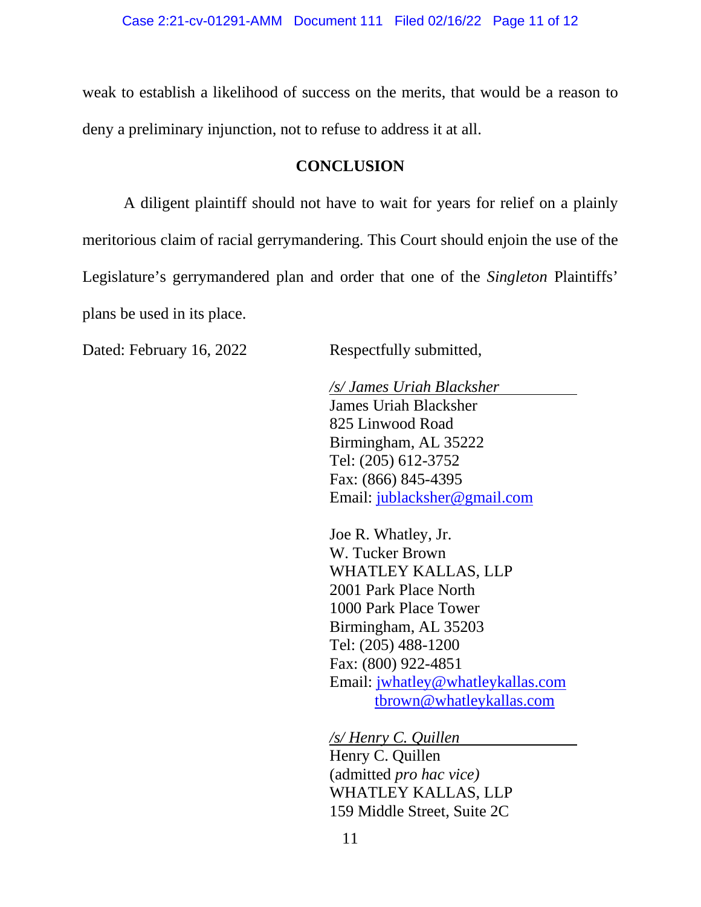weak to establish a likelihood of success on the merits, that would be a reason to deny a preliminary injunction, not to refuse to address it at all.

### **CONCLUSION**

A diligent plaintiff should not have to wait for years for relief on a plainly meritorious claim of racial gerrymandering. This Court should enjoin the use of the Legislature's gerrymandered plan and order that one of the *Singleton* Plaintiffs' plans be used in its place.

Dated: February 16, 2022 Respectfully submitted,

*/s/ James Uriah Blacksher* James Uriah Blacksher 825 Linwood Road Birmingham, AL 35222 Tel: (205) 612-3752 Fax: (866) 845-4395 Email: [jublacksher@gmail.com](mailto:jublacksher@gmail.com)

Joe R. Whatley, Jr. W. Tucker Brown WHATLEY KALLAS, LLP 2001 Park Place North 1000 Park Place Tower Birmingham, AL 35203 Tel: (205) 488-1200 Fax: (800) 922-4851 Email: [jwhatley@whatleykallas.com](mailto:jwhatley@whatleykallas.com) [tbrown@whatleykallas.com](mailto:tbrown@whatleykallas.com)

*/s/ Henry C. Quillen* Henry C. Quillen (admitted *pro hac vice)* WHATLEY KALLAS, LLP 159 Middle Street, Suite 2C